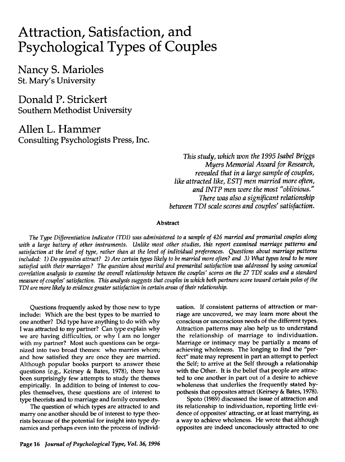# Attraction, Satisfaction, and Psychological Types of Couples

Nancy S. Marioles St. Mary's University

Donald P. Strickert Southern Methodist University

Allen L. Hammer Consulting Psychologists Press, Inc.

> **This study, which won the 1995 Isabel Briggs Myers Memorial Award for Research,** *revealed that* **in a large sample** of **couples**, **like attracted like, ESTJ men married more often, and INTP men were the most "oblivious." There was also a significant relationship between TDIscale scores and couples' satisfaction.**

#### Abstract

**The Type Differentiation Indicator (TDI) was administered to a sample of426 married and premarital couples along** with a large battery of other instruments. Unlike most other studies, this report examined marriage patterns and satisfaction at the level of type, rather than at the level of individual preferences. Questions about marriage patterns included: 1) Do opposites attract? 2) Are certain types likely to be married more often? and 3) What types tend to be more satisfied with their marriages? The question about marital and premarital satisfaction was addressed by using canonical correlation analysis to examine the overall relationship between the couples' scores on the 27 TDI scales and a standard measure of couples' satisfaction. This analysis suggests that couples in which both partners score toward certain poles of the **TDI are more likely to evidence greater satisfaction incertain areas oftheir relationship.**

Questions frequently asked by those new to type include: Which are the best types to be married to one another? Did type have anything to do with why I was attracted to my partner? Can type explain why we are having difficulties, or why I am no longer with my partner? Most such questions can be orga nized into two broad themes: who marries whom; and how satisfied they are once they are married. Although popular books purport to answer these questions (e.g., Keirsey & Bates, 1978), there have been surprisingly few attempts to study the themes empirically. In addition to being of interest to cou ples themselves, these questions are of interest to type theorists and to marriage and family counselors.

The question of which types are attracted to and marry one another should be of interest to type theo rists because of the potential for insight into type dy namics and perhaps even into the process of individ riage are uncovered, we may learn more about the conscious or unconscious needs of the different types. Attraction patterns may also help us to understand the relationship of marriage to individuation. Marriage or intimacy may be partially a means of achieving wholeness. The longing to find the "per fect" mate may represent in part an attempt to perfect the Self; to arrive at the Self through a relationship with the Other. It is the belief that people are attrac ted to one another in part out of a desire to achieve wholeness that underlies the frequently stated hy pothesis that opposites attract (Keirsey & Bates, 1978).

uation. If consistent patterns of attraction or mar

Spoto (1989) discussed the issue of attraction and its relationship to individuation, reporting little evi dence of opposites' attracting, or at least marrying, as a way to achieve wholeness. He wrote that although opposites are indeed unconsciously attracted to one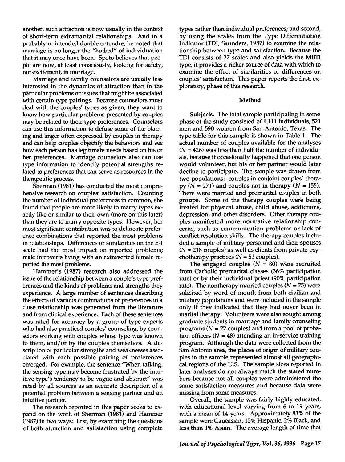another, such attraction is now usually in the context of short-term extramarital relationships. And in a probably unintended double entendre, he noted that marriage is no longer the "hotbed" of individuation that it may once have been. Spoto believes that peo ple are now, at least consciously, looking for safety, not excitement, in marriage.

Marriage and family counselors are usually less interested in the dynamics of attraction than in the particular problems or issues that might be associated with certain type pairings. Because counselors must deal with the couples' types as given, they want to know how particular problems presented by couples may be related to their type preferences. Counselors can use this information to defuse some of the blam ing and anger often expressed by couples in therapy and can help couples objectify the behaviors and see how each person has legitimate needs based on his or her preferences. Marriage counselors also can use type information to identify potential strengths re lated to preferences that can serve as resources in the therapeutic process.

Sherman (1981) has conducted the most compre hensive research on couples' satisfaction. Counting the number of individual preferences in common, she found that people are more likely to marry types ex actly like or similar to their own (more on this later) than they are to marry opposite types. However, her most significant contribution was to delineate prefer ence combinations that reported the most problems in relationships. Differences or similarities on the E-I scale had the most impact on reported problems; male introverts living with an extraverted female re ported the most problems.

Hammer's (1987) research also addressed the issue of the relationship between a couple's type pref erences and the kinds of problems and strengths they experience. A large number of sentences describing the effects of various combinations of preferences in a close relationship was generated from the literature and from clinical experience. Each of these sentences was rated for accuracy by a group of type experts who had also practiced couples' counseling, by coun selors working with couples whose type was known to them, and/or by the couples themselves. A de scription of particular strengths and weaknesses asso ciated with each possible pairing of preferences emerged. For example, the sentence "When talking, the sensing type may become frustrated by the intu itive type's tendency to be vague and abstract" was rated by all sources as an accurate description of a potential problem between a sensing partner and an intuitive partner.

The research reported in this paper seeks to ex pand on the work of Sherman (1981) and Hammer (1987) in two ways: first, by examining the questions of both attraction and satisfaction using complete types rather than individual preferences; and second, by using the scales from the Type Differentiation Indicator (TDI; Saunders, 1987) to examine the rela tionship between type and satisfaction. Because the TDI consists of 27 scales and also yields the MBTI type, it provides a richer source of data with which to examine the effect of similarities or differences on couples' satisfaction. This paper reports the first, ex ploratory, phase of this research.

#### Method

Subjects. The total sample participating in some phase of the study consisted of 1,111 individuals, 521 men and 590 women from San Antonio, Texas. The type table for this sample is shown in Table 1. The actual number of couples available for the analyses  $(N = 426)$  was less than half the number of individuals, because it occasionally happened that one person would volunteer, but his or her partner would later decline to participate. The sample was drawn from two populations: couples in conjoint couples' thera py  $(N = 271)$  and couples not in therapy  $(N = 155)$ . There were married and premarital couples in both groups. Some of the therapy couples were being treated for physical abuse, child abuse, addictions, depression, and other disorders. Other therapy cou ples manifested more normative relationship con cerns, such as communication problems or lack of conflict resolution skills. The therapy couples inclu ded a sample of military personnel and their spouses  $(N = 218$  couples) as well as clients from private psychotherapy practices  $(N = 53$  couples).

The engaged couples  $(N = 80)$  were recruited from Catholic premarital classes (36% participation rate) or by their individual priest (90% participation rate). The nontherapy married couples ( $N = 75$ ) were solicited by word of mouth from both civilian and military populations and were included in the sample only if they indicated that they had never been in marital therapy. Volunteers were also sought among graduate students in marriage and family counseling programs ( $N = 22$  couples) and from a pool of probation officers ( $N = 48$ ) attending an in-service training program. Although the data were collected from the San Antonio area, the places of origin of military cou ples in the sample represented almost all geographi cal regions of the U.S. The sample sizes reported in later analyses do not always match the stated num bers because not all couples were administered the same satisfaction measures and because data were missing from some measures.

Overall, the sample was fairly highly educated, with educational level varying from 6 to 19 years, with a mean of 14 years. Approximately 83% of the sample were Caucasian, 15% Hispanic, 2% Black, and less than 1% Asian. The average length of time that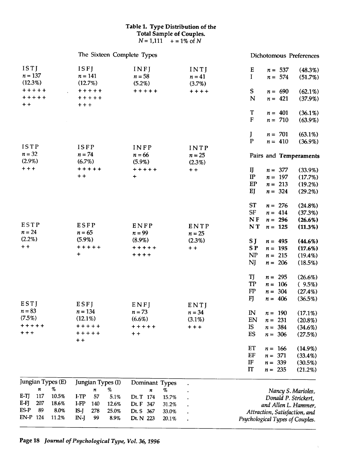## *Table 1. Type Distribution of the Total Sample of Couples.*  $N = 1,111 + 1\%$  of N

|                                    | The Sixteen Complete Types |                    |                  | Dichotomous Preferences                 |
|------------------------------------|----------------------------|--------------------|------------------|-----------------------------------------|
| ISTI                               | ISFI                       | INFJ               | INTJ             | E<br>$n = 537$<br>$(48.3\%)$            |
| $n = 137$                          | $n = 141$                  | $n = 58$           | $n = 41$         | $\mathbf I$<br>$n = 574$<br>$(51.7\%)$  |
| (12.3%)                            | $(12.7\%)$                 | (5.2%)             | $(3.7\%)$        |                                         |
| $+ + + + +$                        | $+ + + + +$                | $+ + + + +$        | $+ + + +$        | S<br>$(62.1\%)$<br>$n = 690$            |
| $+ + + + +$                        | $+ + + + +$                |                    |                  | ${\bf N}$<br>$n = 421$<br>(37.9%)       |
| $+ +$                              | $+ + +$                    |                    |                  |                                         |
|                                    |                            |                    |                  | T<br>$n = 401$<br>$(36.1\%)$            |
|                                    |                            |                    |                  | ${\bf F}$<br>$n = 710$<br>$(63.9\%)$    |
|                                    |                            |                    |                  | J<br>$(63.1\%)$<br>$n = 701$            |
|                                    |                            |                    |                  | $\mathbf{P}$<br>$n = 410$<br>$(36.9\%)$ |
| ISTP                               | ISFP                       | INFP               | INTP             |                                         |
| $n = 32$                           | $n = 74$                   | $n = 66$           | $n = 25$         | Pairs and Temperaments                  |
| $(2.9\%)$                          | $(6.7\%)$                  | $(5.9\%)$          | (2.3%)           |                                         |
| $+ + +$                            | $+ + + + +$                | $+ + + + +$        | $+ +$            | IJ<br>$n = 377$<br>$(33.9\%)$           |
|                                    | $+ +$                      | $\ddot{}$          |                  | IP<br>$n = 197$<br>(17.7%)              |
|                                    |                            |                    |                  | EP<br>$n = 213$<br>$(19.2\%)$           |
|                                    |                            |                    |                  | EJ<br>$n = 324$<br>$(29.2\%)$           |
|                                    |                            |                    |                  | <b>ST</b><br>$(24.8\%)$<br>$n = 276$    |
|                                    |                            |                    |                  | <b>SF</b><br>$n = 414$<br>(37.3%)       |
|                                    |                            |                    |                  | $N$ F<br>$n = 296$<br>$(26.6\%)$        |
| ESTP<br>$n = 24$                   | ESFP<br>$n = 65$           | ENFP<br>$n = 99$   | ENTP<br>$n = 25$ | <b>NT</b><br>$n = 125$<br>(11.3%)       |
| $(2.2\%)$                          | $(5.9\%)$                  | $(8.9\%)$          | $(2.3\%)$        | S J<br>(44.6%)<br>$n = 495$             |
| $+ +$                              | $+ + + + +$                | $+ + + + +$        | $+ +$            | SP <sub></sub><br>$n = 195$<br>(17.6%)  |
|                                    | +                          | $***$              |                  | NP<br>$n = 215$<br>$(19.4\%)$           |
|                                    |                            |                    |                  | NJ<br>$n = 206$<br>(18.5%)              |
|                                    |                            |                    |                  | TJ<br>$n = 295$<br>$(26.6\%)$           |
|                                    |                            |                    |                  | <b>TP</b><br>$n = 106$<br>$(9.5\%)$     |
|                                    |                            |                    |                  | FP<br>$n = 304$<br>$(27.4\%)$           |
|                                    |                            |                    |                  | FJ<br>$n = 406$<br>(36.5%)              |
| ESTJ                               | ESFJ                       | ENFJ               | ENTJ             |                                         |
| $n = 83$                           | $n = 134$                  | $n = 73$           | $n = 34$         | $\mathbb{N}$<br>$n = 190$<br>$(17.1\%)$ |
| (7.5%)                             | $(12.1\%)$                 | (6.6%)             | $(3.1\%)$        | EN<br>$n = 231$<br>$(20.8\%)$           |
| $+ + + + +$                        | +++++                      | +++++              | $+ + +$          | IS<br>384<br>$n =$<br>$(34.6\%)$        |
| + + +                              | +++++<br>$+ +$             | $+ +$              |                  | ES<br>$n = 306$<br>(27.5%)              |
|                                    |                            |                    |                  | ET<br>$n = 166$<br>$(14.9\%)$           |
|                                    |                            |                    |                  | EF<br>371<br>$(33.4\%)$<br>$n =$        |
|                                    |                            |                    |                  | IF<br>$n = 339$<br>$(30.5\%)$           |
|                                    |                            |                    |                  | <b>IT</b><br>$n = 235$<br>$(21.2\%)$    |
| Jungian Types (E)                  | Jungian Types (I)          | Dominant Types     |                  |                                         |
| %<br>n                             | %<br>n                     | %<br>n             |                  | Nancy S. Marioles,                      |
| E-TJ<br>117<br>10.5%               | I-TP<br>57<br>5.1%         | Dt. T 174<br>15.7% |                  | Donald P. Strickert,                    |
| E-FJ<br>207<br>18.6%<br>ES-P<br>89 | I-FP<br>140<br>12.6%       | Dt. F 347<br>31.2% |                  | and Allen L. Hammer,                    |
| 8.0%<br>EN-P 124<br>11.2%          | IS-J<br>278<br>25.0%       | Dt. S 367<br>33.0% |                  | Attraction, Satisfaction, and           |
|                                    | IN-J<br>99<br>8.9%         | Dt. N 223<br>20.1% |                  | Psychological Types of Couples.         |

 $\bar{\chi}$ 

Page 18 **Journal of PsychologicalType, Vol. 36,1996**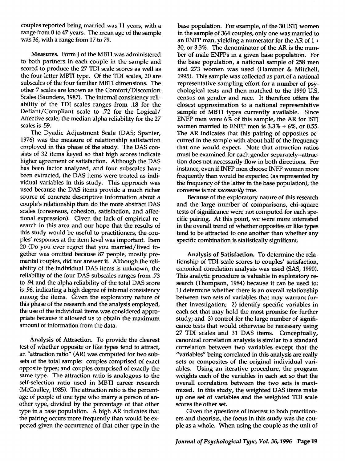couples reported being married was 11 years, with a range from 0 to 47 years. The mean age of the sample was 36, with a range from 17 to 79.

Measures. Form J of the MBTI was administered to both partners in each couple in the sample and scored to produce the 27 TDI scale scores as well as the four-letter MBTI type. Of the TDI scales, 20 are subscales of the four familiar MBTI dimensions. The other 7 scales are known as the Comfort/Discomfort Scales (Saunders, 1987). The internal consistency reli ability of the TDI scales ranges from .18 for the Defiant/Compliant scale to .72 for the Logical/ Affective scale; the median alpha reliability for the 27 scales is .59.

The Dyadic Adjustment Scale (DAS; Spanier, 1976) was the measure of relationship satisfaction employed in this phase of the study. The DAS con sists of 32 items keyed so that high scores indicate higher agreement or satisfaction. Although the DAS has been factor analyzed, and four subscales have been extracted, the DAS items were treated as indi vidual variables in this study. This approach was used because the DAS items provide a much richer source of concrete descriptive information about a couple's relationship than do the more abstract DAS scales (consensus, cohesion, satisfaction, and affectional expression). Given the lack of empirical re search in this area and our hope that the results of this study would be useful to practitioners, the cou ples' responses at the item level was important. Item 20 (Do you ever regret that you married/lived to gether was omitted because 87 people, mostly pre marital couples, did not answer it. Although the reli ability of the individual DAS items is unknown, the reliability of the four DAS subscales ranges from .73 to .94 and the alpha reliability of the total DAS score is .96, indicating a high degree of internal consistency among the items. Given the exploratory nature of this phase of the research and the analysis employed, the use of the individual items was considered appro priate because it allowed us to obtain the maximum amount of information from the data.

Analysis of Attraction. To provide the clearest test of whether opposite or like types tend to attract, an "attraction ratio" (AR) was computed for two sub sets of the total sample: couples comprised of exact opposite types; and couples comprised of exactly the same type. The attraction ratio is analogous to the self-selection ratio used in MBTI career research (McCaulley,1985). The attraction ratio is the percent age of people of one type who marry a person of an other type, divided by the percentage of that other type in a base population. A high AR indicates that the pairing occurs more frequently than would be ex pected given the occurrence of that other type in the

base population. For example, of the 30 ISTJ women in the sample of 364 couples, only one was married to an ENFP man, yielding a numerator for the AR of  $1 +$ 30, or 3.3%. The denominator of the AR is the num ber of male ENFPs in a given base population. For the base population, a national sample of 258 men and 273 women was used (Hammer & Mitchell, 1995). This sample was collected as part of a national representative sampling effort for a number of psy chological tests and then matched to the 1990 U.S. census on gender and race. It therefore offers the closest approximation to a national representative sample of MBTI types currently available. Since ENFP men were 6% of this sample, the AR for ISTJ women married to ENFP men is  $3.3\% + 6\%$ , or 0.55. The AR indicates that this pairing of opposites oc curred in the sample with about half of the frequency that one would expect. Note that attraction ratios must be examined for each gender separately—attrac tion does not necessarily flow in both directions. For instance, even if INFP men choose INFP women more frequently than would be expected (as represented by the frequency of the latter in the base population), the converse is not **necessarily** true.

Because of the exploratory nature of this research and the large number of comparisons, chi-square tests of significance were not computed for each spe cific pairing. At this point, we were more interested in the overall trend of whether opposites or like types tend to be attracted to one another than whether any specific combination is statistically significant.

Analysis of Satisfaction. To determine the rela tionship of TDI scale scores to couples' satisfaction, canonical correlation analysis was used (SAS, 1990). This analytic procedure is valuable in exploratory re search (Thompson, 1984) because it can be used to: 1) determine whether there is an overall relationship between two sets of variables that may warrant fur ther investigation; 2) identify specific variables in each set that may hold the most promise for further study; and 3) control for the large number of signifi cance tests that would otherwise be necessary using 27 TDI scales and 31 DAS items. Conceptually, canonical correlation analysis is similar to a standard correlation between two variables except that the "variables" being correlated in this analysis are really sets or composites of the original individual vari ables. Using an iterative procedure, the program weights each of the variables in each set so that the overall correlation between the two sets is maxi mized. In this study, the weighted DAS items make up one set of variables and the weighted TDI scale scores the other set.

Given the questions of interest to both practition ers and theorists, the focus in this study was the cou ple as a whole. When using the couple as the unit of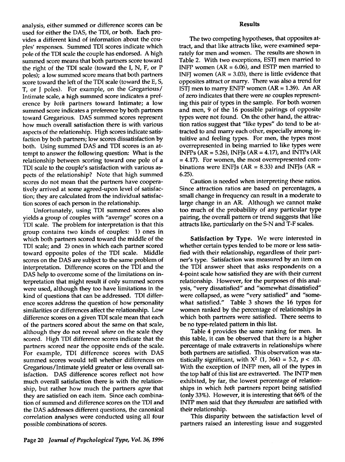analysis, either summed or difference scores can be used for either the DAS, the TDI, or both. Each pro vides a different kind of information about the cou ples' responses. Summed TDI scores indicate which pole of the TDI scale the couple has endorsed. A high summed score means that both partners score toward the right of the TDI scale (toward the I, N, F, or P poles); a low summed score means that both partners score toward the left of the TDI scale (toward the E, S, T, or J poles). For example, on the Gregarious/ Intimate scale, a high summed score indicates a pref erence by **both** partners toward Intimate; a low summed score indicates a preference by both partners toward Gregarious. DAS summed scores represent how much overall satisfaction there is with various aspects of the relationship. High scores indicate satis faction by both partners; low scores dissatisfaction by both. Using summed DAS and TDI scores is an at tempt to answer the following question: What is the relationship between scoring toward one pole of a TDI scale to the couple's satisfaction with various as pects of the relationship? Note that high summed scores do not mean that the partners have coopera tively arrived at some agreed-upon level of satisfac tion; they are calculated from the individual satisfac tion scores of each person in the relationship.

Unfortunately, using TDI summed scores also yields a group of couples with "average" scores on a TDI scale. The problem for interpretation is that this group contains two kinds of couples: 1) ones in which both partners scored toward the middle of the TDI scale; and 2) ones in which each partner scored toward opposite poles of the TDI scale. Middle scores on the DAS are subject to the same problem of interpretation. Difference scores on the TDI and the DAS help to overcome some of the limitations on in terpretation that might result if only summed scores were used, although they too have limitations in the kind of questions that can be addressed. TDI differ ence scores address the question of how personality similarities or differences affect the relationship. Low difference scores on a given TDI scale mean that each of the partners scored about the same on that scale, although they do not reveal **where** on the scale they scored. High TDI difference scores indicate that the partners scored near the opposite ends of the scale. For example, TDI difference scores with DAS summed scores would tell whether differences on Gregarious/Intimate yield greater or less overall sat isfaction. DAS difference scores reflect not how much overall satisfaction there is with the relation ship, but rather how much the partners **agree** that they are satisfied on each item. Since each combina tion of summed and difference scores on the TDI and the DAS addresses different questions, the canonical correlation analyses were conducted using all four possible combinations of scores.

The two competing hypotheses, that opposites at tract, and that like attracts like, were examined sepa rately for men and women. The results are shown in Table 2. With two exceptions, ESTJ men married to INFP women  $(AR = 6.06)$ , and ESTP men married to INFJ women  $(AR = 3.03)$ , there is little evidence that opposites attract or marry. There was also a trend for ISTI men to marry ENFP women  $(AR = 1.39)$ . An AR of zero indicates that there were **no** couples represent ing this pair of types in the sample. For both women and men, 9 of the 16 possible pairings of opposite types were not found. On the other hand, the attrac tion ratios suggest that "like types" do tend to be at tracted to and marry each other, especially among in tuitive and feeling types. For men, the types most overrepresented in being married to like types were INFPs (AR = 5.26), INFJs (AR = 4.17), and INTPs (AR = 4.17). For women, the most overrepresented com binations were ENFJs (AR =  $8.33$ ) and INFJs (AR = 6.25).

Caution is needed when interpreting these ratios. Since attraction ratios are based on percentages, a small change in frequency can result in a moderate to large change in an AR. Although we cannot make too much of the probability of any particular type pairing, the overall pattern or trend suggests that like attracts like, particularly on the S-N and T-F scales.

*Satisfaction* by *Type.* We were interested in whether certain types tended to be more or less satis fied with their relationship, regardless of their part ner's type. Satisfaction was measured by an item on the TDI answer sheet that asks respondents on a 4-point scale how satisfied they are with their current relationship. However, for the purposes of this anal ysis, "very dissatisfied" and "somewhat dissatisfied" were collapsed, as were "very satisfied" and "some what satisfied." Table 3 shows the 16 types for women ranked by the percentage of relationships in which both partners were satisfied. There seems to be no type-related pattern in this list.

Table 4 provides the same ranking for men. In this table, it can be observed that there is a higher percentage of male extraverts in relationships where both partners are satisfied. This observation was sta tistically significant, with  $X^2$  (1, 364) = 5.2, p < .03. With the exception of INFP men, all of the types in the top half of this list are extraverted. The INTP men exhibited, by far, the lowest percentage of relation ships in which **both** partners report being satisfied (only33%). However, it is interesting that 66% of the INTP men said that they **themselves** are satisfied with their relationship.

This disparity between the satisfaction level of partners raised an interesting issue and suggested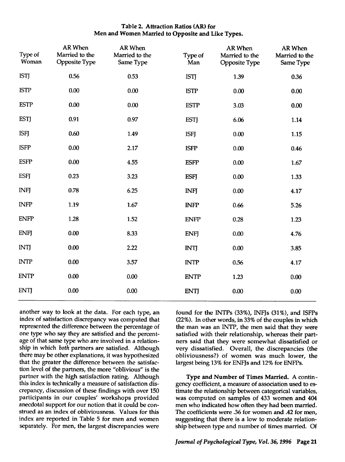# *Table 2. Attraction Ratios (AR) for Men and Women Married to Opposite and Like Types.*

| Type of<br>Woman | <b>AR When</b><br>Married to the<br><b>Opposite Type</b> | AR When<br>Married to the<br>Same Type | Type of<br>Man | <b>AR When</b><br>Married to the<br><b>Opposite Type</b> | <b>AR When</b><br>Married to the<br>Same Type |
|------------------|----------------------------------------------------------|----------------------------------------|----------------|----------------------------------------------------------|-----------------------------------------------|
| <b>ISTJ</b>      | 0.56                                                     | 0.53                                   | <b>ISTJ</b>    | 1.39                                                     | 0.36                                          |
| <b>ISTP</b>      | 0.00                                                     | 0.00                                   | <b>ISTP</b>    | 0.00                                                     | 0.00                                          |
| <b>ESTP</b>      | 0.00                                                     | 0.00                                   | <b>ESTP</b>    | 3.03                                                     | 0.00                                          |
| <b>ESTJ</b>      | 0.91                                                     | 0.97                                   | <b>ESTJ</b>    | 6.06                                                     | 1.14                                          |
| <b>ISFJ</b>      | 0.60                                                     | 1.49                                   | <b>ISFJ</b>    | 0.00                                                     | 1.15                                          |
| <b>ISFP</b>      | 0.00                                                     | 2.17                                   | <b>ISFP</b>    | 0.00                                                     | 0.46                                          |
| <b>ESFP</b>      | 0.00                                                     | 4.55                                   | <b>ESFP</b>    | 0.00                                                     | 1.67                                          |
| <b>ESFJ</b>      | 0.23                                                     | 3.23                                   | <b>ESFJ</b>    | 0.00                                                     | 1.33                                          |
| <b>INFJ</b>      | 0.78                                                     | 6.25                                   | <b>INFJ</b>    | 0.00                                                     | 4.17                                          |
| <b>INFP</b>      | 1.19                                                     | 1.67                                   | <b>INFP</b>    | 0.66                                                     | 5.26                                          |
| <b>ENFP</b>      | 1.28                                                     | 1.52                                   | <b>ENFP</b>    | 0.28                                                     | 1.23                                          |
| <b>ENFJ</b>      | 0.00                                                     | 8.33                                   | <b>ENFJ</b>    | 0.00                                                     | 4.76                                          |
| <b>INTJ</b>      | 0.00                                                     | 2.22                                   | <b>INTJ</b>    | 0.00                                                     | 3.85                                          |
| <b>INTP</b>      | 0.00                                                     | 3.57                                   | <b>INTP</b>    | 0.56                                                     | 4.17                                          |
| <b>ENTP</b>      | 0.00                                                     | 0.00                                   | <b>ENTP</b>    | 1.23                                                     | 0.00                                          |
| <b>ENTJ</b>      | 0.00                                                     | 0.00                                   | <b>ENTJ</b>    | 0.00                                                     | 0.00                                          |

another way to look at the data. For each type, an index of satisfaction discrepancy was computed that represented the difference between the percentage of one type who say they are satisfied and the percent age of that same type who are involved in a relation ship in which **both** partners are satisfied. Although there may be other explanations, it was hypothesized that the greater the difference between the satisfac tion level of the partners, the more "oblivious" is the partner with the high satisfaction rating. Although this index is technically a measure of satisfaction dis crepancy, discussion of these findings with over 150 participants in our couples' workshops provided anecdotal support for our notion that it could be con strued as an index of obliviousness. Values for this index are reported in Table 5 for men and women separately. For men, the largest discrepancies were

found for the INTPs (33%), INFJs (31%), and ISFPs (22%). In other words, in 33%of the couples in which the man was an INTP, the men said that they were satisfied with their relationship, whereas their part ners said that they were somewhat dissatisfied or very dissatisfied. Overall, the discrepancies (the obliviousness?) of women was much lower, the largest being 13% for ENFJs and 12% for ENFPs.

*Type and Number of Times Married.* A contin gency coefficient, a measure of association used to es timate the relationship between categorical variables, was computed on samples of 433 women and 404 men who indicated how often they had been married. The coefficients were .36 for women and .42 for men, suggesting that there is *a* low to moderate relation ship between type and number of times married. Of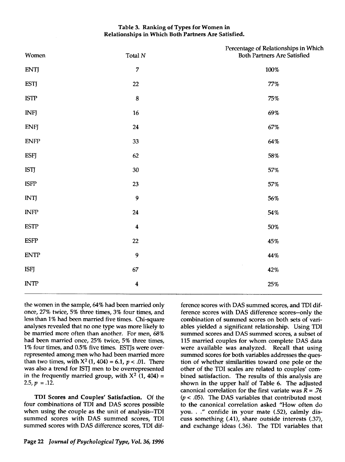# Table 3. Ranking of Types for Women in Relationships in Which Both Partners Are Satisfied.

| Women                               | Total $\cal N$   | Percentage of Relationships in Which<br>Both Partners Are Satisfied |
|-------------------------------------|------------------|---------------------------------------------------------------------|
| <b>ENTJ</b>                         | $\boldsymbol{7}$ | $100\%$                                                             |
| <b>ESTJ</b>                         | 22               | $77\%$                                                              |
| <b>ISTP</b>                         | 8                | $75\%$                                                              |
| <b>INFJ</b>                         | 16               | 69%                                                                 |
| <b>ENFJ</b>                         | 24               | 67%                                                                 |
| <b>ENFP</b>                         | 33               | 64%                                                                 |
| <b>ESFJ</b>                         | 62               | 58%                                                                 |
| <b>ISTJ</b>                         | 30               | 57%                                                                 |
| <b>ISFP</b>                         | 23               | 57%                                                                 |
| <b>INTJ</b>                         | 9                | 56%                                                                 |
| $\ensuremath{\mathsf{INFP}}$        | 24               | $54\%$                                                              |
| <b>ESTP</b>                         | $\boldsymbol{4}$ | 50%                                                                 |
| <b>ESFP</b>                         | 22               | 45%                                                                 |
| ${\ensuremath{\mathrm{ENTP}}}$      | 9                | 44%                                                                 |
| <b>ISFJ</b>                         | 67               | $\sim$<br>42%                                                       |
| $\ensuremath{\text{\textbf{INTP}}}$ | 4                | $25\%$                                                              |
|                                     |                  |                                                                     |

the women in the sample, 64% had been married only once, 27% twice, 5% three times, 3% four times, and less than 1% had been married five times. Chi-square analyses revealed that no one type was more likely to be married more often than another. For men, 68% had been married once, 25% twice, 5% three times, 1% four times, and 0.5% five times. ESTJs were overrepresented among men who had been married more than two times, with  $X^2$  (1, 404) = 6.1,  $p < .01$ . There was also a trend for ISTJ men to be overrepresented in the frequently married group, with  $X^2$  (1, 404) = 2.5,  $p = .12$ .

*TDI* Scores *and* Couples' Satisfaction. Of the four combinations of TDI and DAS scores possible when using the couple as the unit of analysis—TDI summed scores with DAS summed scores, TDI summed scores with DAS difference scores, TDI dif

Page 22 *Journal of Psychological Type, Vol. 36, 1996* 

ference scores with DAS summed scores, and TDI dif ference scores with DAS difference scores—only the combination of summed scores on both sets of vari ables yielded a significant relationship. Using TDI summed scores and DAS summed scores, a subset of 115 married couples for whom complete DAS data were available was analyzed. Recall that using summed scores for both variables addresses the ques tion of whether similarities toward one pole or the other of the TDI scales are related to couples' com bined satisfaction. The results of this analysis are shown in the upper half of Table 6. The adjusted canonical correlation for the first variate was  $R = .76$  $(p < .05)$ . The DAS variables that contributed most to the canonical correlation asked "How often do you. . ." confide in your mate (.52), calmly dis cuss something (.41), share outside interests (.37), and exchange ideas (.36). The TDI variables that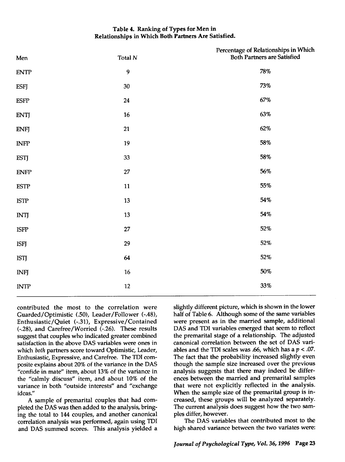# *Table 4. Ranking of Types for Men in Relationships in Which Both Partners Are Satisfied.*

| Men                          | Total ${\cal N}$ | Percentage of Relationships in Which<br>Both Partners are Satisfied |
|------------------------------|------------------|---------------------------------------------------------------------|
| <b>ENTP</b>                  | $\boldsymbol{9}$ | 78%                                                                 |
| <b>ESFJ</b>                  | 30               | 73%                                                                 |
| $\ensuremath{\mathrm{ESFP}}$ | 24               | $67\%$                                                              |
| <b>ENTJ</b>                  | $16\,$           | 63%                                                                 |
| <b>ENFJ</b>                  | 21               | $62\%$                                                              |
| $\ensuremath{\mathsf{INFP}}$ | 19               | $58\%$                                                              |
| <b>ESTJ</b>                  | 33               | 58%                                                                 |
| <b>ENFP</b>                  | 27               | 56%                                                                 |
| <b>ESTP</b>                  | 11               | $55\%$                                                              |
| <b>ISTP</b>                  | 13               | 54%                                                                 |
| <b>INTJ</b>                  | $13\,$           | 54%                                                                 |
| <b>ISFP</b>                  | $27\,$           | 52%                                                                 |
| <b>ISFJ</b>                  | 29               | $52\%$                                                              |
| <b>ISTJ</b>                  | 64               | 52%                                                                 |
| <b>INFJ</b>                  | $16\,$           | $50\%$                                                              |
| <b>INTP</b>                  | $12\,$           | $33\%$                                                              |
|                              |                  |                                                                     |

contributed the most to the correlation were Guarded/Optimistic (.50), Leader/Follower (-.48), Enthusiastic/Quiet (-.31), Expressive/Contained (-.28), and Carefree/Worried (-.26). These results suggest that couples who indicated greater combined satisfaction in the above DAS variables were ones in which **both** partners score toward Optimistic, Leader, Enthusiastic, Expressive, and Carefree. The TDI com posite explains about 20% of the variance in the DAS "confide in mate" item, about 13% of the variance in the "calmly discuss" item, and about 10% of the variance in both "outside interests" and "exchange ideas."

A sample of premarital couples that had com pleted the DAS was then added to the analysis, bringing the total to 144 couples, and another canonical correlation analysis was performed, again using TDI and DAS summed scores. This analysis yielded a

slightly different picture, which is shown in the lower half of Table 6. Although some of the same variables were present as in the married sample, additional DAS and TDI variables emerged that seem to reflect the premarital stage of a relationship. The adjusted canonical correlation between the set of DAS vari ables and the TDI scales was .66, which has a **p <** .07. The fact that the probability increased slightly even though the sample size increased over the previous analysis suggests that there may indeed be differ ences between the married and premarital samples that were not explicitly reflected in the analysis. When the sample size of the premarital group is in creased, these groups will be analyzed separately. The current analysis does suggest how the two sam ples differ, however.

The DAS variables that contributed most to the high shared variance between the two variates were: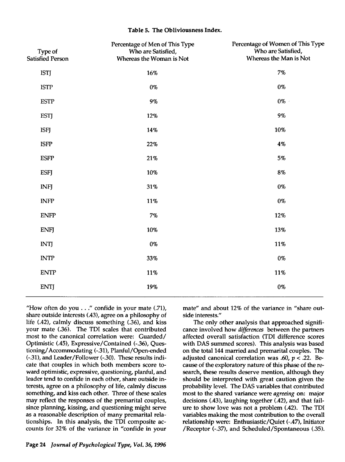## *Table 5. The Obliviousness Index.*

| Type of<br><b>Satisfied Person</b> | Percentage of Men of This Type<br>Who are Satisfied,<br>Whereas the Woman is Not | Percentage of Women of This Type<br>Who are Satisfied,<br>Whereas the Man is Not |
|------------------------------------|----------------------------------------------------------------------------------|----------------------------------------------------------------------------------|
| <b>ISTJ</b>                        | 16%                                                                              | 7%                                                                               |
| <b>ISTP</b>                        | $0\%$                                                                            | $0\%$                                                                            |
| <b>ESTP</b>                        | 9%                                                                               | $0\%$                                                                            |
| <b>ESTJ</b>                        | 12%                                                                              | 9%                                                                               |
| <b>ISFJ</b>                        | 14%                                                                              | 10%                                                                              |
| <b>ISFP</b>                        | 22%                                                                              | 4%                                                                               |
| <b>ESFP</b>                        | 21%                                                                              | 5%                                                                               |
| <b>ESFJ</b>                        | 10%                                                                              | 8%                                                                               |
| <b>INFJ</b>                        | 31%                                                                              | 0%                                                                               |
| <b>INFP</b>                        | 11%                                                                              | $0\%$                                                                            |
| <b>ENFP</b>                        | 7%                                                                               | 12%                                                                              |
| <b>ENFJ</b>                        | 10%                                                                              | 13%                                                                              |
| <b>INTJ</b>                        | $0\%$                                                                            | 11%                                                                              |
| <b>INTP</b>                        | 33%                                                                              | 0%                                                                               |
| <b>ENTP</b>                        | 11%                                                                              | 11%                                                                              |
| <b>ENTJ</b>                        | 19%                                                                              | 0%                                                                               |
|                                    |                                                                                  |                                                                                  |

"How often do you . . ." confide in your mate (.71), share outside interests (.43), agree on a philosophy of life (.42), calmly discuss something (.36), and kiss your mate (.36). The TDI scales that contributed most to the canonical correlation were: Guarded/ Optimistic (.45), Expressive/Contained (-.36), Ques tioning/Accommodating (-.31), Planful/Open-ended (-.31), and Leader/Follower (-.30). These results indi cate that couples in which both members score to ward optimistic, expressive, questioning, planful, and leader tend to confide in each other, share outside in terests, agree on a philosophy of life, calmly discuss something, and kiss each other. Three of these scales may reflect the responses of the premarital couples, since planning, kissing, and questioning might serve as a reasonable description of many premarital rela tionships. In this analysis, the TDI composite ac counts for 32% of the variance in "confide in your mate" and about 12% of the variance in "share out side interests."

The only other analysis that approached signifi cance involved how **differences** between the partners affected overall satisfaction (TDI difference scores with DAS summed scores). This analysis was based on the total 144 married and premarital couples. The adjusted canonical correlation was .60, **p <** .22. Be cause of the exploratory nature of this phase of the re search, these results deserve mention, although they should be interpreted with great caution given the probability level. The DAS variables that contributed most to the shared variance were **agreeing** on: major decisions (.43), laughing together (.42), and that fail ure to show love was not a problem (.42). The TDI variables making the most contribution to the overall relationship were: Enthusiastic/Quiet (-.47), Initiator /Receptor (-.37), and Scheduled/Spontaneous (.35).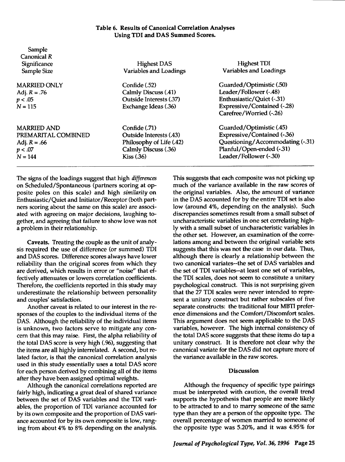# *Table 6. Results of Canonical Correlation Analyses Using TDI and DAS Summed Scores.*

| Sample              |                               |                                    |
|---------------------|-------------------------------|------------------------------------|
| Canonical R         |                               |                                    |
| Significance        | <b>Highest DAS</b>            | <b>Highest TDI</b>                 |
| Sample Size         | <b>Variables and Loadings</b> | <b>Variables and Loadings</b>      |
| <b>MARRIED ONLY</b> | Confide (.52)                 | Guarded/Optimistic (.50)           |
| Adj. $R = .76$      | Calmly Discuss (.41)          | Leader/Follower (-.48)             |
| p < .05             | Outside Interests (.37)       | Enthusiastic/Quiet (-.31)          |
| $N = 115$           | Exchange Ideas (.36)          | <b>Expressive/Contained (-.28)</b> |
|                     |                               | Carefree/Worried (-.26)            |
| <b>MARRIED AND</b>  | Confide (.71)                 | Guarded/Optimistic (.45)           |
| PREMARITAL COMBINED | Outside Interests (.43)       | <b>Expressive/Contained (-.36)</b> |
| Adj. $R = .66$      | Philosophy of Life (.42)      | Questioning/Accommodating (-.31)   |
| p < .07             | Calmly Discuss (.36)          | Planful/Open-ended (-.31)          |
| $N = 144$           | Kiss(.36)                     | Leader/Follower (-.30)             |
|                     |                               |                                    |

The signs of the loadings suggest that high **differences** on Scheduled/Spontaneous (partners scoring at op posite poles on this scale) and high **similarity** on Enthusiastic/Quiet and Initiator/Receptor (both part ners scoring about the same on this scale) are associ ated with agreeing on major decisions, laughing to gether, and agreeing that failure to show love was not a problem in their relationship.

*Caveats.* Treating the couple as the unit of analy sis required the use of difference (or summed) TDI and DAS scores. Difference scores always have lower reliability than the original scores from which they are derived, which results in error or "noise" that ef fectively attenuates or lowers correlation coefficients. Therefore, the coefficients reported in this study may underestimate the relationship between personality and couples' satisfaction.

Another caveat is related to our interest in the re sponses of the couples to the individual items of the DAS. Although the reliability of the individual items is unknown, two factors serve to mitigate any con cern that this may raise. First, the alpha reliability of the total DAS score is very high (.96), suggesting that the items are all highly interrelated. A second, but re lated factor, is that the canonical correlation analysis used in this study essentially uses a total DAS score for each person derived by combining all of the items after they have been assigned optimal weights.

Although the canonical correlations reported are fairly high, indicating a great deal of shared variance between the set of DAS variables and the TDI vari ables, the proportion of TDI variance accounted for by its own composite and the proportion of DAS variance accounted for by its own composite is low, rang ing from about 4% to 8% depending on the analysis.

This suggests that each composite was not picking up much of the variance available in the raw scores of the original variables. Also, the amount of variance in the DAS accounted for by the entire TDI set is also low (around 4%, depending on the analysis). Such discrepancies sometimes result from a small subset of uncharacteristic variables in one set correlating high ly with a small subset of uncharacteristic variables in the other set. However, an examination of the corre lations among and between the original variable sets suggests that this was not the case in our data. Thus, although there is clearly a relationship between the two canonical variates—the set of DAS variables and the set of TDI variables-at least one set of variables, the TDI scales, does not seem to constitute a unitary psychological construct. This is not surprising given that the 27 TDI scales were never intended to repre sent a unitary construct but rather subscales of five separate constructs: the traditional four MBTI prefer ence dimensions and the Comfort/Discomfort scales. This argument does not seem applicable to the DAS variables, however. The high internal consistency of the total DAS score suggests that these items do tap a unitary construct. It is therefore not clear why the canonical variate for the DAS did not capture more of the variance available in the raw scores.

#### *Discussion*

Although the frequency of specific type pairings must be interpreted with caution, the overall trend supports the hypothesis that people are more likely to be attracted to and to marry someone of the same type than they are a person of the opposite type. The overall percentage of women married to someone of the opposite type was 5.20%, and it was 4.95% for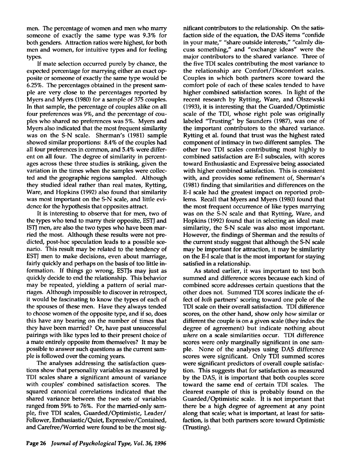men. The percentage of women and men who marry someone of exactly the same type was 9.3% for both genders. Attraction ratios were highest, for both men and women, for intuitive types and for feeling types.

If mate selection occurred purely by chance, the expected percentage for marrying either an exact op posite or someone of exactly the same type would be 6.25%. The percentages obtained in the present sam ple are very close to the percentages reported by Myers and Myers (1980) for a sample of 375 couples. In that sample, the percentage of couples alike on all four preferences was 9%, and the percentage of cou ples who shared no preferences was 5%. Myers and Myers also indicated that the most frequent similarity was on the S-N scale. Sherman's (1981) sample showed similar proportions: 8.4% of the couples had all four preferences in common, and 5.4% were differ ent on all four. The degree of similarity in percent ages across these three studies is striking, given the variation in the times when the samples were collec ted and the geographic regions sampled. Although they studied ideal rather than real mates, Rytting, Ware, and Hopkins (1992) also found that similarity was most important on the S-N scale, and little evi dence for the hypothesis that opposites attract.

It is interesting to observe that for men, two of the types who tend to marry their opposite, ESTJ and ISTJ men, are also the two types who have been mar ried the most. Although these results were not pre dicted, post-hoc speculation leads to a possible sce nario. This result may be related to the tendency of ESTJ men to make decisions, even about marriage, fairly quickly and perhaps on the basis of too little in formation. If things go wrong, ESTJs may just as quickly decide to end the relationship. This behavior may be repeated, yielding a pattern of serial mar riages. Although impossible to discover in retrospect, it would be fascinating to know the types of each of the spouses of these men. Have they always tended to choose women of the opposite type, and if so, does this have any bearing on the number of times that they have been married? Or, have past unsuccessful pairings with like types led to their present choice of a mate entirely opposite from themselves? It may be possible to answer such questions as the current sam ple is followed over the coming years.

The analyses addressing the satisfaction ques tions show that personality variables as measured by TDI scales share a significant amount of variance with couples' combined satisfaction scores. The squared canonical correlations indicated that the shared variance between the two sets of variables ranged from 59% to 76%. For the married-only sam ple, five TDI scales, Guarded/Optimistic, Leader/ Follower, Enthusiastic/Quiet, Expressive/Contained, and Carefree/Worried were found to be the most sig nificant contributors to the relationship. On the satis faction side of the equation, the DAS items "confide in your mate," "share outside interests," "calmly dis cuss something," and "exchange ideas" were the major contributors to the shared variance. Three of the five TDI scales contributing the most variance to the relationship are Comfort/Discomfort scales. Couples in which both partners score toward the comfort pole of each of these scales tended to have higher combined satisfaction scores. In light of the recent research by Rytting, Ware, and Olszewski (1993), it is interesting that the Guarded/Optimistic scale of the TDI, whose right pole was originally labeled 'Trusting" by Saunders (1987), was one of the important contributors to the shared variance. Rytting et al. found that trust was the highest rated component of intimacy in two different samples. The other two TDI scales contributing most highly to combined satisfaction are E-I subscales, with scores toward Enthusiastic and Expressive being associated with higher combined satisfaction. This is consistent with, and provides some refinement of, Sherman's (1981) finding that similarities and differences on the E-I scale had the greatest impact on reported prob lems. Recall that Myers and Myers (1980) found that the most frequent occurrence of like types marrying was on the S-N scale and that Rytting, Ware, and Hopkins (1992) found that in selecting an ideal mate similarity, the S-N scale was also most important. However, the findings of Sherman and the results of the current study suggest that although the S-N scale may be important for attraction, it may be similarity on the E-I scale that is the most important for staying satisfied in a relationship.

As stated earlier, it was important to test both summed and difference scores because each kind of combined score addresses certain questions that the other does not. Summed TDI scores indicate the ef fect of **both** partners' scoring toward one pole of the TDI scale on their overall satisfaction. TDI difference scores, on the other hand, show only how similar or different the couple is on a given scale (they index the degree of agreement) but indicate nothing about **where** on a scale similarities occur. TDI difference scores were only marginally significant in one sam ple. None of the analyses using DAS difference scores were significant. Only TDI summed scores were significant predictors of overall couple satisfac tion. This suggests that for satisfaction as measured by the DAS, it is important that both couples score toward the same end of certain TDI scales. The clearest example of this is probably found on the Guarded/Optimistic scale. It is not important that there be a high degree of agreement at any point along that scale; what is important, at least for satis faction, is that both partners score toward Optimistic (Trusting).